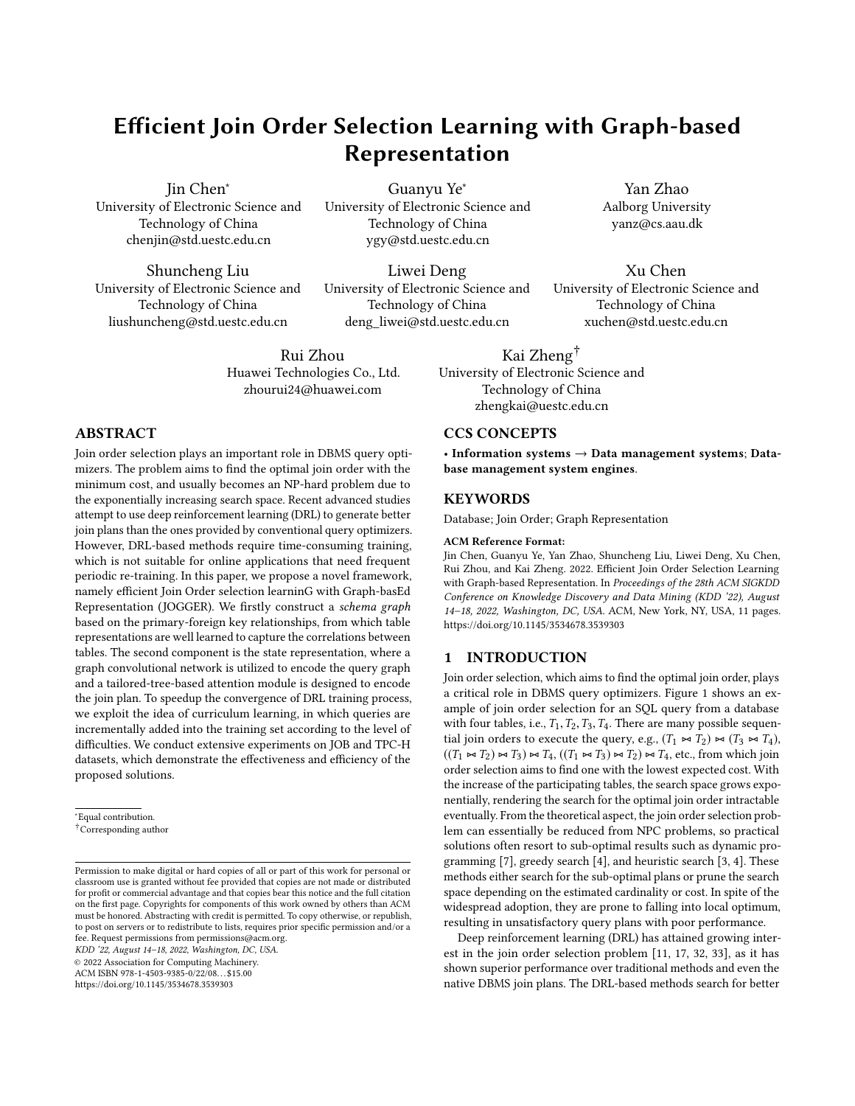# Efficient Join Order Selection Learning with Graph-based Representation

Jin Chen<sup>∗</sup> University of Electronic Science and Technology of China chenjin@std.uestc.edu.cn

Shuncheng Liu University of Electronic Science and Technology of China liushuncheng@std.uestc.edu.cn

Guanyu Ye<sup>∗</sup> University of Electronic Science and Technology of China ygy@std.uestc.edu.cn

Liwei Deng University of Electronic Science and Technology of China deng\_liwei@std.uestc.edu.cn

Rui Zhou Huawei Technologies Co., Ltd. zhourui24@huawei.com

# ABSTRACT

Join order selection plays an important role in DBMS query optimizers. The problem aims to find the optimal join order with the minimum cost, and usually becomes an NP-hard problem due to the exponentially increasing search space. Recent advanced studies attempt to use deep reinforcement learning (DRL) to generate better join plans than the ones provided by conventional query optimizers. However, DRL-based methods require time-consuming training, which is not suitable for online applications that need frequent periodic re-training. In this paper, we propose a novel framework, namely efficient Join Order selection learninG with Graph-basEd Representation (JOGGER). We firstly construct a schema graph based on the primary-foreign key relationships, from which table representations are well learned to capture the correlations between tables. The second component is the state representation, where a graph convolutional network is utilized to encode the query graph and a tailored-tree-based attention module is designed to encode the join plan. To speedup the convergence of DRL training process, we exploit the idea of curriculum learning, in which queries are incrementally added into the training set according to the level of difficulties. We conduct extensive experiments on JOB and TPC-H datasets, which demonstrate the effectiveness and efficiency of the proposed solutions.

<sup>∗</sup>Equal contribution.

†Corresponding author

KDD '22, August 14–18, 2022, Washington, DC, USA.

© 2022 Association for Computing Machinery.

ACM ISBN 978-1-4503-9385-0/22/08. . . \$15.00

<https://doi.org/10.1145/3534678.3539303>

CCS CONCEPTS

• Information systems → Data management systems; Database management system engines.

# **KEYWORDS**

Database; Join Order; Graph Representation

Kai Zheng† University of Electronic Science and Technology of China zhengkai@uestc.edu.cn

#### ACM Reference Format:

Jin Chen, Guanyu Ye, Yan Zhao, Shuncheng Liu, Liwei Deng, Xu Chen, Rui Zhou, and Kai Zheng. 2022. Efficient Join Order Selection Learning with Graph-based Representation. In Proceedings of the 28th ACM SIGKDD Conference on Knowledge Discovery and Data Mining (KDD '22), August 14–18, 2022, Washington, DC, USA. ACM, New York, NY, USA, [11](#page-10-0) pages. <https://doi.org/10.1145/3534678.3539303>

#### 1 INTRODUCTION

Join order selection, which aims to find the optimal join order, plays a critical role in DBMS query optimizers. Figure [1](#page-1-0) shows an example of join order selection for an SQL query from a database with four tables, i.e.,  $T_1, T_2, T_3, T_4$ . There are many possible sequential join orders to execute the query, e.g.,  $(T_1 \Join T_2) \Join (T_3 \Join T_4)$ ,  $((T_1 \Join T_2) \Join T_3) \Join T_4, ((T_1 \Join T_3) \Join T_2) \Join T_4$ , etc., from which join order selection aims to find one with the lowest expected cost. With the increase of the participating tables, the search space grows exponentially, rendering the search for the optimal join order intractable eventually. From the theoretical aspect, the join order selection problem can essentially be reduced from NPC problems, so practical solutions often resort to sub-optimal results such as dynamic programming [\[7\]](#page-8-0), greedy search [\[4\]](#page-8-1), and heuristic search [\[3,](#page-8-2) [4\]](#page-8-1). These methods either search for the sub-optimal plans or prune the search space depending on the estimated cardinality or cost. In spite of the widespread adoption, they are prone to falling into local optimum, resulting in unsatisfactory query plans with poor performance.

Deep reinforcement learning (DRL) has attained growing interest in the join order selection problem [\[11,](#page-8-3) [17,](#page-8-4) [32,](#page-8-5) [33\]](#page-8-6), as it has shown superior performance over traditional methods and even the native DBMS join plans. The DRL-based methods search for better

Yan Zhao Aalborg University yanz@cs.aau.dk

Xu Chen University of Electronic Science and Technology of China xuchen@std.uestc.edu.cn

Permission to make digital or hard copies of all or part of this work for personal or classroom use is granted without fee provided that copies are not made or distributed for profit or commercial advantage and that copies bear this notice and the full citation on the first page. Copyrights for components of this work owned by others than ACM must be honored. Abstracting with credit is permitted. To copy otherwise, or republish, to post on servers or to redistribute to lists, requires prior specific permission and/or a fee. Request permissions from permissions@acm.org.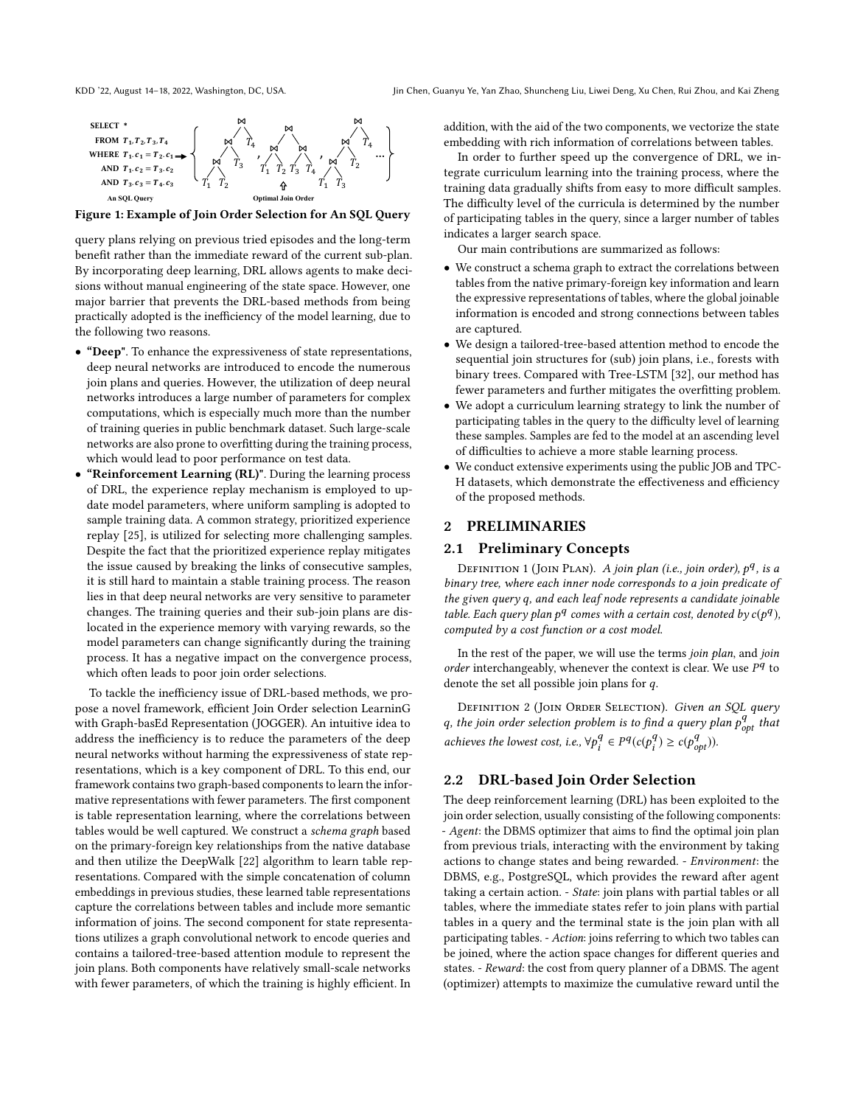<span id="page-1-0"></span>

Figure 1: Example of Join Order Selection for An SQL Query

query plans relying on previous tried episodes and the long-term benefit rather than the immediate reward of the current sub-plan. By incorporating deep learning, DRL allows agents to make decisions without manual engineering of the state space. However, one major barrier that prevents the DRL-based methods from being practically adopted is the inefficiency of the model learning, due to the following two reasons.

- "Deep". To enhance the expressiveness of state representations, deep neural networks are introduced to encode the numerous join plans and queries. However, the utilization of deep neural networks introduces a large number of parameters for complex computations, which is especially much more than the number of training queries in public benchmark dataset. Such large-scale networks are also prone to overfitting during the training process, which would lead to poor performance on test data.
- "Reinforcement Learning (RL)". During the learning process of DRL, the experience replay mechanism is employed to update model parameters, where uniform sampling is adopted to sample training data. A common strategy, prioritized experience replay [\[25\]](#page-8-7), is utilized for selecting more challenging samples. Despite the fact that the prioritized experience replay mitigates the issue caused by breaking the links of consecutive samples, it is still hard to maintain a stable training process. The reason lies in that deep neural networks are very sensitive to parameter changes. The training queries and their sub-join plans are dislocated in the experience memory with varying rewards, so the model parameters can change significantly during the training process. It has a negative impact on the convergence process, which often leads to poor join order selections.

To tackle the inefficiency issue of DRL-based methods, we propose a novel framework, efficient Join Order selection LearninG with Graph-basEd Representation (JOGGER). An intuitive idea to address the inefficiency is to reduce the parameters of the deep neural networks without harming the expressiveness of state representations, which is a key component of DRL. To this end, our framework contains two graph-based components to learn the informative representations with fewer parameters. The first component is table representation learning, where the correlations between tables would be well captured. We construct a schema graph based on the primary-foreign key relationships from the native database and then utilize the DeepWalk [\[22\]](#page-8-8) algorithm to learn table representations. Compared with the simple concatenation of column embeddings in previous studies, these learned table representations capture the correlations between tables and include more semantic information of joins. The second component for state representations utilizes a graph convolutional network to encode queries and contains a tailored-tree-based attention module to represent the join plans. Both components have relatively small-scale networks with fewer parameters, of which the training is highly efficient. In

addition, with the aid of the two components, we vectorize the state embedding with rich information of correlations between tables.

In order to further speed up the convergence of DRL, we integrate curriculum learning into the training process, where the training data gradually shifts from easy to more difficult samples. The difficulty level of the curricula is determined by the number of participating tables in the query, since a larger number of tables indicates a larger search space.

Our main contributions are summarized as follows:

- We construct a schema graph to extract the correlations between tables from the native primary-foreign key information and learn the expressive representations of tables, where the global joinable information is encoded and strong connections between tables are captured.
- We design a tailored-tree-based attention method to encode the sequential join structures for (sub) join plans, i.e., forests with binary trees. Compared with Tree-LSTM [\[32\]](#page-8-5), our method has fewer parameters and further mitigates the overfitting problem.
- We adopt a curriculum learning strategy to link the number of participating tables in the query to the difficulty level of learning these samples. Samples are fed to the model at an ascending level of difficulties to achieve a more stable learning process.
- We conduct extensive experiments using the public JOB and TPC-H datasets, which demonstrate the effectiveness and efficiency of the proposed methods.

### 2 PRELIMINARIES

#### 2.1 Preliminary Concepts

DEFINITION 1 (JOIN PLAN). A join plan (i.e., join order),  $p<sup>q</sup>$ , is a<br>pary tree where each inner node corresponds to a join predicate of binary tree, where each inner node corresponds to a join predicate of the given query q, and each leaf node represents a candidate joinable table. Each query plan  $p^q$  comes with a certain cost, denoted by  $c(p^q)$ ,<br>computed by a cost function or a cost model computed by a cost function or a cost model.

In the rest of the paper, we will use the terms join plan, and join order interchangeably, whenever the context is clear. We use  $P<sup>q</sup>$  to denote the set all possible join plans for a denote the set all possible join plans for q.

DEFINITION 2 (JOIN ORDER SELECTION). Given an SQL query q, the join order selection problem is to find a query plan  $p_{opt}^q$  that achieves the lowest cost, i.e.,  $\forall p_i^q \in P^q(c(p_i^q) \geq c(p_{opt}^q)).$ 

# 2.2 DRL-based Join Order Selection

The deep reinforcement learning (DRL) has been exploited to the join order selection, usually consisting of the following components: - Agent: the DBMS optimizer that aims to find the optimal join plan from previous trials, interacting with the environment by taking actions to change states and being rewarded. - Environment: the DBMS, e.g., PostgreSQL, which provides the reward after agent taking a certain action. - State: join plans with partial tables or all tables, where the immediate states refer to join plans with partial tables in a query and the terminal state is the join plan with all participating tables. - Action: joins referring to which two tables can be joined, where the action space changes for different queries and states. - Reward: the cost from query planner of a DBMS. The agent (optimizer) attempts to maximize the cumulative reward until the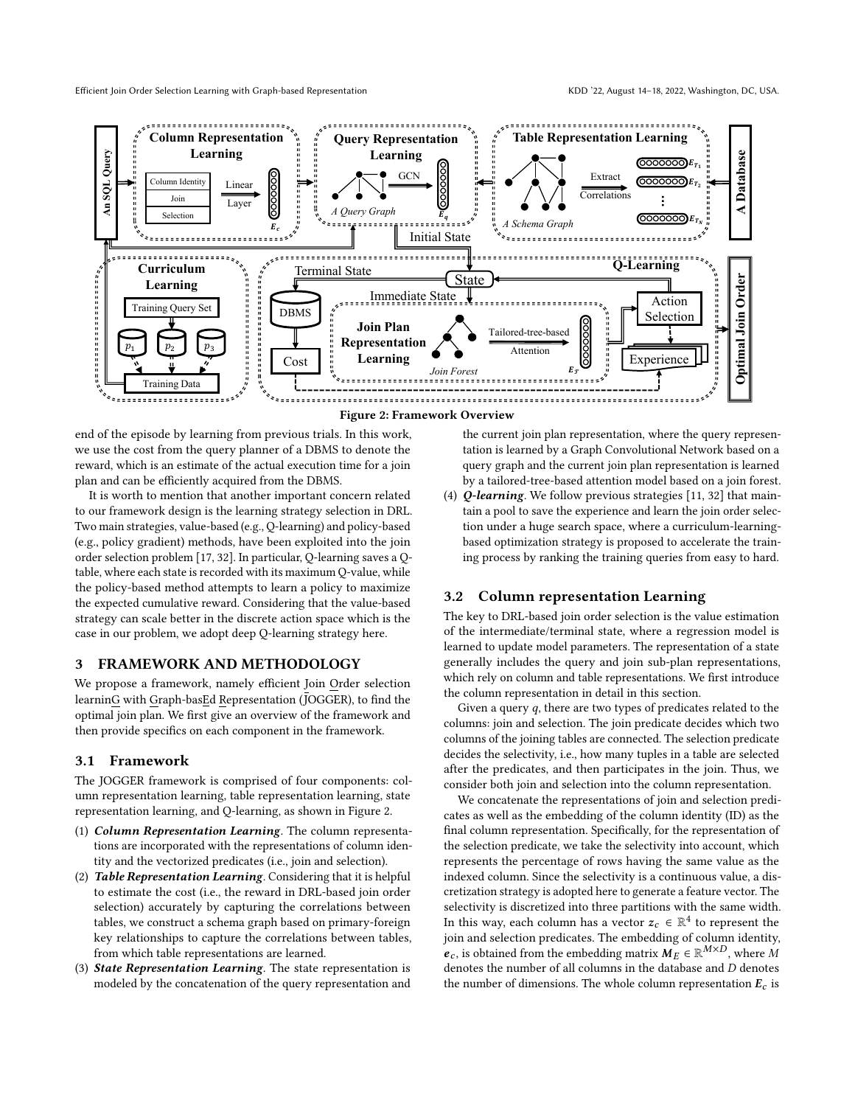<span id="page-2-0"></span>

end of the episode by learning from previous trials. In this work, we use the cost from the query planner of a DBMS to denote the reward, which is an estimate of the actual execution time for a join plan and can be efficiently acquired from the DBMS.

It is worth to mention that another important concern related to our framework design is the learning strategy selection in DRL. Two main strategies, value-based (e.g., Q-learning) and policy-based (e.g., policy gradient) methods, have been exploited into the join order selection problem [\[17,](#page-8-4) [32\]](#page-8-5). In particular, Q-learning saves a Qtable, where each state is recorded with its maximum Q-value, while the policy-based method attempts to learn a policy to maximize the expected cumulative reward. Considering that the value-based strategy can scale better in the discrete action space which is the case in our problem, we adopt deep Q-learning strategy here.

#### 3 FRAMEWORK AND METHODOLOGY

We propose a framework, namely efficient Join Order selection learninG with Graph-basEd Representation (JOGGER), to find the optimal join plan. We first give an overview of the framework and then provide specifics on each component in the framework.

#### 3.1 Framework

The JOGGER framework is comprised of four components: column representation learning, table representation learning, state representation learning, and Q-learning, as shown in Figure [2.](#page-2-0)

- (1) Column Representation Learning. The column representations are incorporated with the representations of column identity and the vectorized predicates (i.e., join and selection).
- (2) Table Representation Learning. Considering that it is helpful to estimate the cost (i.e., the reward in DRL-based join order selection) accurately by capturing the correlations between tables, we construct a schema graph based on primary-foreign key relationships to capture the correlations between tables, from which table representations are learned.
- (3) State Representation Learning. The state representation is modeled by the concatenation of the query representation and

the current join plan representation, where the query representation is learned by a Graph Convolutional Network based on a query graph and the current join plan representation is learned by a tailored-tree-based attention model based on a join forest.

(4) Q-learning. We follow previous strategies [\[11,](#page-8-3) [32\]](#page-8-5) that maintain a pool to save the experience and learn the join order selection under a huge search space, where a curriculum-learningbased optimization strategy is proposed to accelerate the training process by ranking the training queries from easy to hard.

# <span id="page-2-1"></span>3.2 Column representation Learning

The key to DRL-based join order selection is the value estimation of the intermediate/terminal state, where a regression model is learned to update model parameters. The representation of a state generally includes the query and join sub-plan representations, which rely on column and table representations. We first introduce the column representation in detail in this section.

Given a query  $q$ , there are two types of predicates related to the columns: join and selection. The join predicate decides which two columns of the joining tables are connected. The selection predicate decides the selectivity, i.e., how many tuples in a table are selected after the predicates, and then participates in the join. Thus, we consider both join and selection into the column representation.

We concatenate the representations of join and selection predicates as well as the embedding of the column identity (ID) as the final column representation. Specifically, for the representation of the selection predicate, we take the selectivity into account, which represents the percentage of rows having the same value as the indexed column. Since the selectivity is a continuous value, a discretization strategy is adopted here to generate a feature vector. The selectivity is discretized into three partitions with the same width. In this way, each column has a vector  $z_c \in \mathbb{R}^4$  to represent the ion and calection products. The embedding of column identity join and selection predicates. The embedding of column identity,  $e_c$ , is obtained from the embedding matrix  $M_E \in \mathbb{R}^{M \times D}$ , where M<br>denotes the number of all columns in the database and D denotes denotes the number of all columns in the database and D denotes the number of dimensions. The whole column representation  $E_c$  is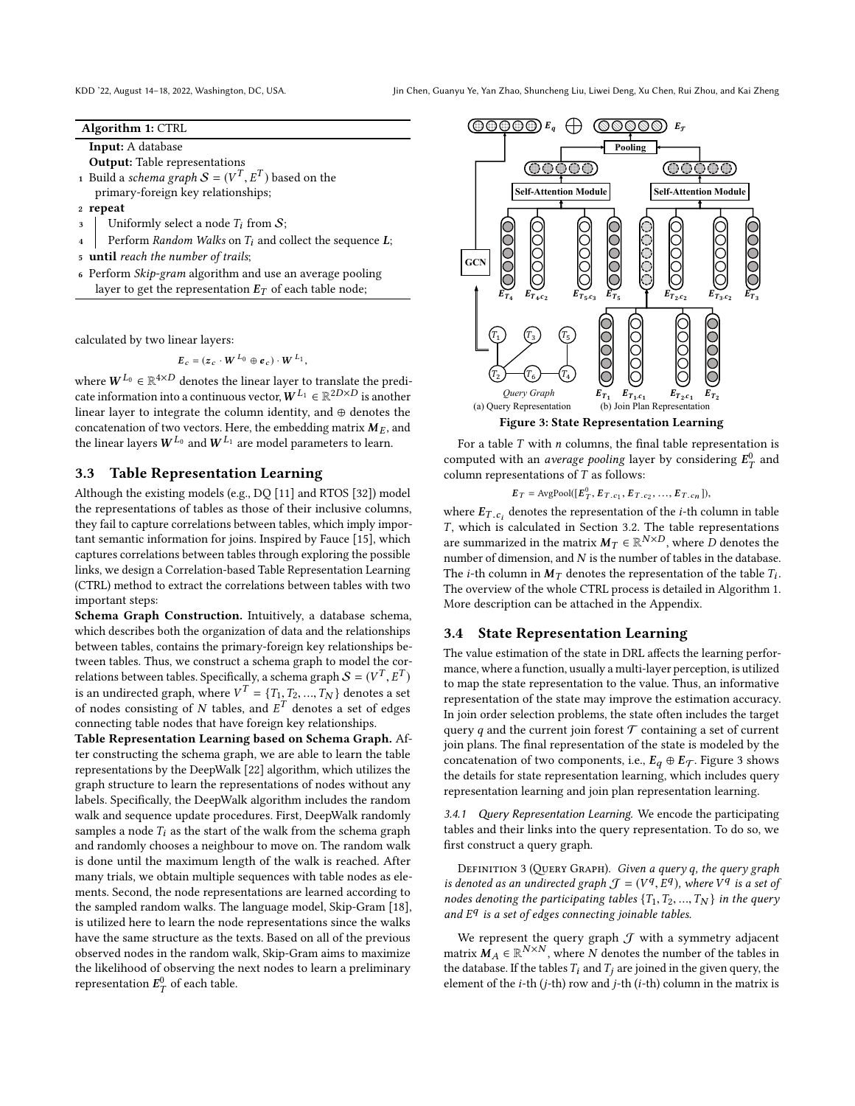KDD '22, August 14-18, 2022, Washington, DC, USA. Jin Chen, Guanyu Ye, Yan Zhao, Shuncheng Liu, Liwei Deng, Xu Chen, Rui Zhou, and Kai Zheng

#### Algorithm 1: CTRL

<span id="page-3-0"></span>Input: A database

- <span id="page-3-2"></span>Output: Table representations
- 1 Build a schema graph  $S = (V^T, E^T)$  based on the<br>primary-foreign key relationships:  $\lim_{n \to \infty} \frac{1}{n}$  a structure  $S^{n}$  or  $\frac{1}{n}$  or  $\frac{1}{n}$  or  $\frac{1}{n}$  or  $\frac{1}{n}$  or  $\frac{1}{n}$  or  $\frac{1}{n}$  or  $\frac{1}{n}$  or  $\frac{1}{n}$  or  $\frac{1}{n}$  or  $\frac{1}{n}$  or  $\frac{1}{n}$  or  $\frac{1}{n}$  or  $\frac{1}{n}$  or  $\frac{1}{n}$
- <span id="page-3-3"></span><sup>2</sup> repeat
- 3 Uniformly select a node  $T_i$  from  $S$ ;<br>4 Perform Random Walks on  $T_i$  and co
- Perform Random Walks on  $T_i$  and collect the sequence  $L$ ;
- <span id="page-3-4"></span><sup>5</sup> until reach the number of trails;
- <span id="page-3-5"></span><sup>6</sup> Perform Skip-gram algorithm and use an average pooling layer to get the representation  $E_T$  of each table node;

calculated by two linear layers:

$$
\boldsymbol{E}_c = (\boldsymbol{z}_c \cdot \boldsymbol{W}^{L_0} \oplus \boldsymbol{e}_c) \cdot \boldsymbol{W}^{L_1},
$$

where  $W^{L_0} \in \mathbb{R}^{4 \times D}$  denotes the linear layer to translate the predicate information into a continuous vector,  $W^{L_1} \in \mathbb{R}^{2D \times D}$  is another linear layer to integrate the column identity, and ⊕ denotes the concatenation of two vectors. Here, the embedding matrix  $M_E$ , and the linear layers  $W^{L_0}$  and  $W^{L_1}$  are model parameters to learn.

#### 3.3 Table Representation Learning

Although the existing models (e.g., DQ [\[11\]](#page-8-3) and RTOS [\[32\]](#page-8-5)) model the representations of tables as those of their inclusive columns, they fail to capture correlations between tables, which imply important semantic information for joins. Inspired by Fauce [\[15\]](#page-8-9), which captures correlations between tables through exploring the possible links, we design a Correlation-based Table Representation Learning (CTRL) method to extract the correlations between tables with two important steps:

Schema Graph Construction. Intuitively, a database schema, which describes both the organization of data and the relationships between tables, contains the primary-foreign key relationships between tables. Thus, we construct a schema graph to model the correlations between tables. Specifically, a schema graph  $S = (V^T, E^T)$ <br>is an undirected graph, where  $V^T = (T, T_0, T_1)$  denotes a set  $\frac{1}{2}$  is an undirected graph, where  $V^T = \{T_1, T_2, ..., T_N\}$  denotes a set<br>of nodes consisting of N tables and  $F^T$  denotes a set of edges of nodes consisting of N tables, and  $E<sup>T</sup>$  denotes a set of edges<br>connecting table nodes that have foreign key relationships connecting table nodes that have foreign key relationships.

Table Representation Learning based on Schema Graph. After constructing the schema graph, we are able to learn the table representations by the DeepWalk [\[22\]](#page-8-8) algorithm, which utilizes the graph structure to learn the representations of nodes without any labels. Specifically, the DeepWalk algorithm includes the random walk and sequence update procedures. First, DeepWalk randomly samples a node  $T_i$  as the start of the walk from the schema graph and randomly chooses a neighbour to move on. The random walk is done until the maximum length of the walk is reached. After many trials, we obtain multiple sequences with table nodes as elements. Second, the node representations are learned according to the sampled random walks. The language model, Skip-Gram [\[18\]](#page-8-10), is utilized here to learn the node representations since the walks have the same structure as the texts. Based on all of the previous observed nodes in the random walk, Skip-Gram aims to maximize the likelihood of observing the next nodes to learn a preliminary representation  $E_T^0$  of each table.

<span id="page-3-1"></span>

For a table  $T$  with  $n$  columns, the final table representation is computed with an *average pooling* layer by considering  $E_T^0$  and column representations of  $T$  as follows:

$$
E_T = \text{AvgPool}([\boldsymbol{E}_T^0, \boldsymbol{E}_{T,c_1}, \boldsymbol{E}_{T,c_2}, ..., \boldsymbol{E}_{T,c_n}]),
$$

where  $E_{T, c_i}$  denotes the representation of the *i*-th column in table  $T$  which is colculated in Section 3.2. The table representations  $T$ , which is calculated in Section [3.2.](#page-2-1) The table representations are summarized in the matrix  $M_T \in \mathbb{R}^{N \times D}$ , where D denotes the number of tables in the database number of dimension, and  $N$  is the number of tables in the database. The *i*-th column in  $M_T$  denotes the representation of the table  $T_i$ .<br>The overview of the whole CTPL process is detailed in Algorithm 1. The overview of the whole CTRL process is detailed in Algorithm [1.](#page-3-0) More description can be attached in the Appendix.

#### 3.4 State Representation Learning

The value estimation of the state in DRL affects the learning performance, where a function, usually a multi-layer perception, is utilized to map the state representation to the value. Thus, an informative representation of the state may improve the estimation accuracy. In join order selection problems, the state often includes the target query q and the current join forest  $\mathcal T$  containing a set of current join plans. The final representation of the state is modeled by the concatenation of two components, i.e.,  $E_q \oplus E_{\mathcal{T}}$ . Figure [3](#page-3-1) shows the details for state representation learning, which includes query representation learning and join plan representation learning.

3.4.1 Query Representation Learning. We encode the participating tables and their links into the query representation. To do so, we first construct a query graph.

DEFINITION 3 (QUERY GRAPH). Given a query q, the query graph is denoted as an undirected graph  $\mathcal{J} = (V^q, E^q)$ , where  $V^q$  is a set of<br>nodes denoting the participating tables  $\{T, T_2, \ldots, T_N\}$  in the query nodes denoting the participating tables  $\{T_1, T_2, ..., T_N\}$  in the query<br>and  $F_g$  is a set of edges connecting joinable tables and  $E<sup>q</sup>$  is a set of edges connecting joinable tables.

We represent the query graph  $\mathcal J$  with a symmetry adjacent matrix  $M_A \in \mathbb{R}^{N \times N}$ , where N denotes the number of the tables in the distance of the tables  $T$ , and  $T$  are joined in the given query the the database. If the tables  $T_i$  and  $T_j$  are joined in the given query, the element of the  $i$ -th ( $j$ -th) row and  $j$ -th ( $i$ -th) column in the matrix is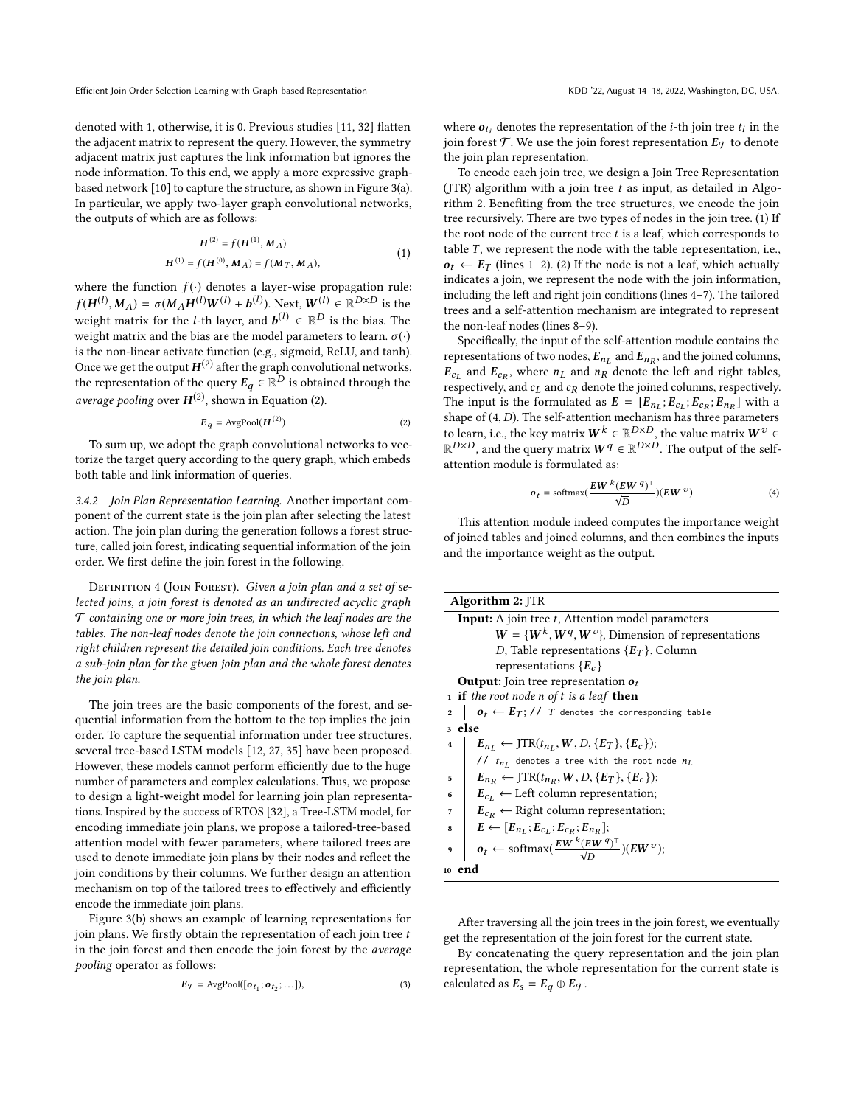denoted with 1, otherwise, it is 0. Previous studies [\[11,](#page-8-3) [32\]](#page-8-5) flatten the adjacent matrix to represent the query. However, the symmetry adjacent matrix just captures the link information but ignores the node information. To this end, we apply a more expressive graphbased network [\[10\]](#page-8-11) to capture the structure, as shown in Figure [3\(](#page-3-1)a). In particular, we apply two-layer graph convolutional networks, the outputs of which are as follows:

$$
H^{(2)} = f(H^{(1)}, M_A)
$$
  
\n
$$
H^{(1)} = f(H^{(0)}, M_A) = f(M_T, M_A),
$$
\n(1)

where the function  $f(\cdot)$  denotes a layer-wise propagation rule:  $f(H^{(l)}, M_A) = \sigma(M_A H^{(l)}W^{(l)} + b^{(l)})$ . Next,  $W^{(l)} \in \mathbb{R}^{D \times D}$  is the matrix for the *l* th lever and  $h^{(l)} \in \mathbb{R}^D$  is the bise. The weight matrix for the *l*-th layer, and  $\mathbf{b}^{(l)} \in \mathbb{R}^D$  is the bias. The weight matrix and the bias are the model parameters to learn  $\sigma(\cdot)$ weight matrix and the bias are the model parameters to learn.  $\sigma(\cdot)$ is the non-linear activate function (e.g., sigmoid, ReLU, and tanh). Once we get the output  $H^{(2)}$  after the graph convolutional networks, the representation of the query  $E_q \in \mathbb{R}^D$  is obtained through the average pooling over  $H^{(2)}$  $H^{(2)}$  $H^{(2)}$ , shown in Equation (2).

<span id="page-4-0"></span>
$$
E_q = \text{AvgPool}(H^{(2)})\tag{2}
$$

To sum up, we adopt the graph convolutional networks to vectorize the target query according to the query graph, which embeds both table and link information of queries.

3.4.2 Join Plan Representation Learning. Another important component of the current state is the join plan after selecting the latest action. The join plan during the generation follows a forest structure, called join forest, indicating sequential information of the join order. We first define the join forest in the following.

DEFINITION 4 (JOIN FOREST). Given a join plan and a set of selected joins, a join forest is denoted as an undirected acyclic graph  $\mathcal T$  containing one or more join trees, in which the leaf nodes are the tables. The non-leaf nodes denote the join connections, whose left and right children represent the detailed join conditions. Each tree denotes a sub-join plan for the given join plan and the whole forest denotes the join plan.

The join trees are the basic components of the forest, and sequential information from the bottom to the top implies the join order. To capture the sequential information under tree structures, several tree-based LSTM models [\[12,](#page-8-12) [27,](#page-8-13) [35\]](#page-8-14) have been proposed. However, these models cannot perform efficiently due to the huge number of parameters and complex calculations. Thus, we propose to design a light-weight model for learning join plan representations. Inspired by the success of RTOS [\[32\]](#page-8-5), a Tree-LSTM model, for encoding immediate join plans, we propose a tailored-tree-based attention model with fewer parameters, where tailored trees are used to denote immediate join plans by their nodes and reflect the join conditions by their columns. We further design an attention mechanism on top of the tailored trees to effectively and efficiently encode the immediate join plans.

Figure [3\(](#page-3-1)b) shows an example of learning representations for join plans. We firstly obtain the representation of each join tree  $t$ in the join forest and then encode the join forest by the average pooling operator as follows:

$$
E_{\mathcal{T}} = \text{AvgPool}([\mathbf{o}_{t_1}; \mathbf{o}_{t_2}; \dots]), \tag{3}
$$

where  $o_{t_i}$  denotes the representation of the *i*-th join tree  $t_i$  in the ioin forget  $T$ . We use the join forget representation  $F_{\sigma}$  to denote join forest  $\mathcal T$ . We use the join forest representation  $E_{\mathcal T}$  to denote the join plan representation.

To encode each join tree, we design a Join Tree Representation (JTR) algorithm with a join tree  $t$  as input, as detailed in Algorithm [2.](#page-4-1) Benefiting from the tree structures, we encode the join tree recursively. There are two types of nodes in the join tree. (1) If the root node of the current tree  $t$  is a leaf, which corresponds to table  $T$ , we represent the node with the table representation, i.e.,  $o_t \leftarrow E_T$  (lines [1](#page-4-2)[–2\)](#page-4-3). (2) If the node is not a leaf, which actually indicates a join, we represent the node with the join information, including the left and right join conditions (lines [4–](#page-4-4)[7\)](#page-4-5). The tailored trees and a self-attention mechanism are integrated to represent the non-leaf nodes (lines [8–](#page-4-6)[9\)](#page-4-7).

Specifically, the input of the self-attention module contains the representations of two nodes,  $E_{n_L}$  and  $E_{n_R}$ , and the joined columns,<br> $E_{n_R}$  and  $E_{n_R}$  where  $n_L$  and  $n_S$  denote the left and right tables  $\vec{E}_{c_L}$  and  $\vec{E}_{c_R}$ , where  $n_L$  and  $n_R$  denote the left and right tables, respectively, and  $c_L$  and  $c_R$  denote the joined columns, respectively. The input is the formulated as  $E = [E_{n_L}; E_{c_L}; E_{c_R}; E_{n_R}]$  with a shape of  $(A, D)$ . The self attention mochanism has three parameters shape of  $(4, D)$ . The self-attention mechanism has three parameters to learn, i.e., the key matrix  $W^k \in \mathbb{R}^{D \times D}$ , the value matrix  $W^v \in$  $\mathbb{R}^{D\times D}$ , and the query matrix  $W^q\in \mathbb{R}^{D\times D}$ . The output of the selfattention module is formulated as:

$$
o_t = \text{softmax}(\frac{EW^k(EW^q)^\top}{\sqrt{D}})(EW^v)
$$
 (4)

This attention module indeed computes the importance weight of joined tables and joined columns, and then combines the inputs and the importance weight as the output.

<span id="page-4-4"></span><span id="page-4-3"></span><span id="page-4-2"></span><span id="page-4-1"></span>

| Algorithm 2: JTR                                                                         |  |  |  |  |
|------------------------------------------------------------------------------------------|--|--|--|--|
| <b>Input:</b> A join tree t, Attention model parameters                                  |  |  |  |  |
| $W = \{W^k, W^q, W^v\}$ , Dimension of representations                                   |  |  |  |  |
| D, Table representations $\{E_T\}$ , Column                                              |  |  |  |  |
| representations $\{E_c\}$                                                                |  |  |  |  |
| <b>Output:</b> Join tree representation $o_t$                                            |  |  |  |  |
| 1 <b>if</b> the root node <i>n</i> of t is a leaf <b>then</b>                            |  |  |  |  |
| $o_t \leftarrow E_T$ ; // T denotes the corresponding table<br>$\overline{2}$            |  |  |  |  |
| 3 else                                                                                   |  |  |  |  |
| $E_{n_L} \leftarrow \text{JTR}(t_{n_L}, W, D, \{E_T\}, \{E_c\})$ ;<br>$\overline{4}$     |  |  |  |  |
| // $t_{n_I}$ denotes a tree with the root node $n_L$                                     |  |  |  |  |
| $E_{n_p} \leftarrow \text{JTR}(t_{n_p}, W, D, \{E_T\}, \{E_c\});$<br>5                   |  |  |  |  |
| $E_{c_I} \leftarrow$ Left column representation;<br>6                                    |  |  |  |  |
| $E_{c_R} \leftarrow$ Right column representation;<br>7                                   |  |  |  |  |
| $E \leftarrow [E_{n_i}; E_{c_i}; E_{c_i}; E_{n_i}];$<br>8                                |  |  |  |  |
| $o_t \leftarrow \text{softmax}(\frac{E W^{k}(E W^{q})^{\top}}{\sqrt{D}})(E W^{v});$<br>9 |  |  |  |  |
| 10 end                                                                                   |  |  |  |  |

<span id="page-4-7"></span><span id="page-4-6"></span><span id="page-4-5"></span>After traversing all the join trees in the join forest, we eventually get the representation of the join forest for the current state.

By concatenating the query representation and the join plan representation, the whole representation for the current state is calculated as  $E_s = E_q \oplus E_T$ .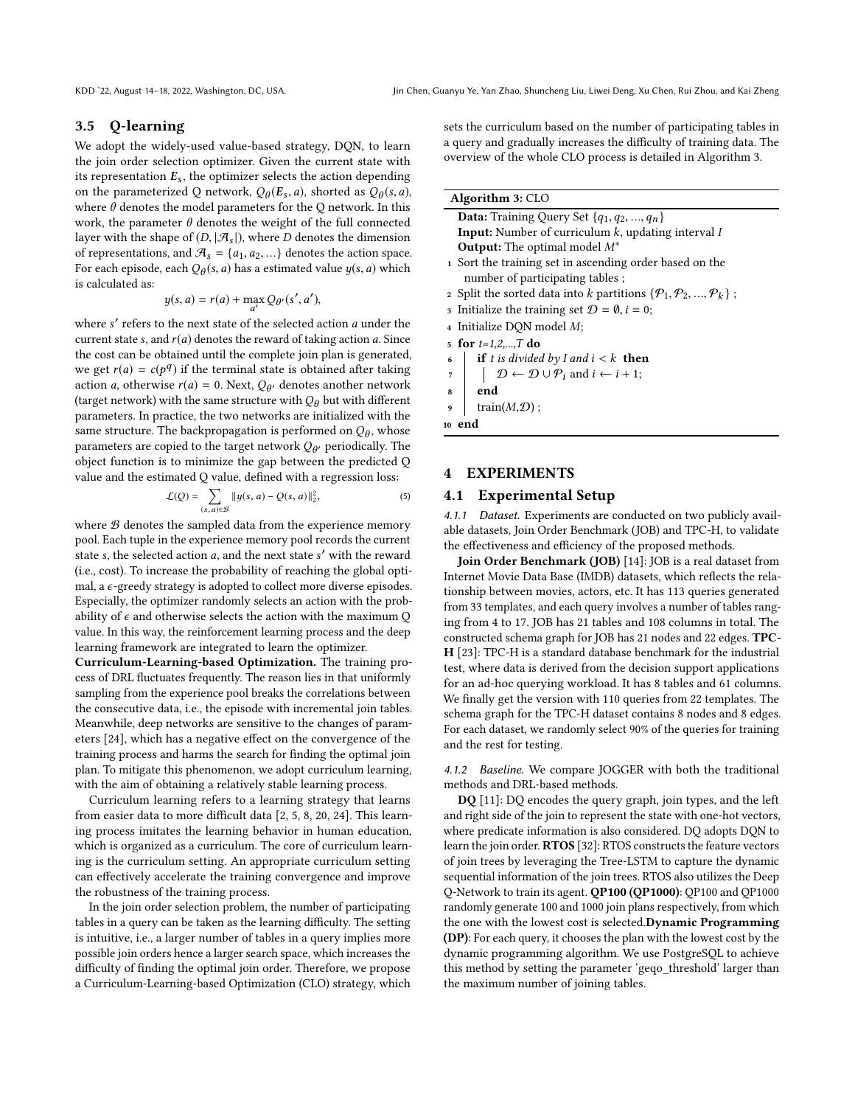# 3.5 Q-learning

We adopt the widely-used value-based strategy, DQN, to learn the join order selection optimizer. Given the current state with its representation  $E_s$ , the optimizer selects the action depending on the parameterized Q network,  $Q_{\theta}(E_s, a)$ , shorted as  $Q_{\theta}(s, a)$ , where  $\theta$  denotes the model parameters for the Q network. In this where  $\theta$  denotes the model parameters for the Q network. In this work, the parameter  $\theta$  denotes the weight of the full connected layer with the shape of  $(D, |\mathcal{A}_s|)$ , where D denotes the dimension of representations, and  $\mathcal{A}_s = \{a_1, a_2, ...\}$  denotes the action space. For each episode, each  $Q_{\theta}(s, a)$  has a estimated value  $y(s, a)$  which is calculated as: is calculated as:

$$
y(s, a) = r(a) + \max_{a'} Q_{\theta'}(s', a'),
$$

where s' refers to the next state of the selected action a under the current state s and  $r(a)$  denotes the reward of taking action a Since current state s, and  $r(a)$  denotes the reward of taking action a. Since the cost can be obtained until the complete join plan is generated, we get  $r(a) = c(p^q)$  if the terminal state is obtained after taking<br>action a otherwise  $r(a) = 0$ . Next,  $Q_a$  denotes another network action a, otherwise  $r(a) = 0$ . Next,  $Q_{\theta'}$  denotes another network<br>(target network) with the same structure with  $Q_{\theta}$  but with different (target network) with the same structure with  $Q_{\theta}$  but with different parameters. In practice, the two networks are initialized with the same structure. The backpropagation is performed on  $Q_{\theta}$ , whose<br>parameters are copied to the target petwork  $Q_{\theta}$ , periodically. The parameters are copied to the target network  $Q_{\theta}$ , periodically. The object function is to minimize the gap between the predicted O object function is to minimize the gap between the predicted Q value and the estimated Q value, defined with a regression loss:

$$
\mathcal{L}(Q) = \sum_{(s,a)\in\mathcal{B}} \|y(s,a) - Q(s,a)\|_2^2,
$$
 (5)

where  $B$  denotes the sampled data from the experience memory pool. Each tuple in the experience memory pool records the current state s, the selected action  $a$ , and the next state s' with the reward (i.e., cost). To increase the probability of reaching the global optimal, a  $\epsilon$ -greedy strategy is adopted to collect more diverse episodes. Especially, the optimizer randomly selects an action with the probability of  $\epsilon$  and otherwise selects the action with the maximum Q value. In this way, the reinforcement learning process and the deep learning framework are integrated to learn the optimizer.

Curriculum-Learning-based Optimization. The training process of DRL fluctuates frequently. The reason lies in that uniformly sampling from the experience pool breaks the correlations between the consecutive data, i.e., the episode with incremental join tables. Meanwhile, deep networks are sensitive to the changes of parameters [\[24\]](#page-8-15), which has a negative effect on the convergence of the training process and harms the search for finding the optimal join plan. To mitigate this phenomenon, we adopt curriculum learning, with the aim of obtaining a relatively stable learning process.

Curriculum learning refers to a learning strategy that learns from easier data to more difficult data [\[2,](#page-8-16) [5,](#page-8-17) [8,](#page-8-18) [20,](#page-8-19) [24\]](#page-8-15). This learning process imitates the learning behavior in human education, which is organized as a curriculum. The core of curriculum learning is the curriculum setting. An appropriate curriculum setting can effectively accelerate the training convergence and improve the robustness of the training process.

In the join order selection problem, the number of participating tables in a query can be taken as the learning difficulty. The setting is intuitive, i.e., a larger number of tables in a query implies more possible join orders hence a larger search space, which increases the difficulty of finding the optimal join order. Therefore, we propose a Curriculum-Learning-based Optimization (CLO) strategy, which sets the curriculum based on the number of participating tables in a query and gradually increases the difficulty of training data. The overview of the whole CLO process is detailed in Algorithm [3.](#page-5-0)

### Algorithm 3: CLO

<span id="page-5-1"></span><span id="page-5-0"></span>

| <b>Data:</b> Training Query Set $\{q_1, q_2, , q_n\}$                                           |  |  |  |
|-------------------------------------------------------------------------------------------------|--|--|--|
| <b>Input:</b> Number of curriculum $k$ , updating interval $I$                                  |  |  |  |
| <b>Output:</b> The optimal model $M^*$                                                          |  |  |  |
| 1 Sort the training set in ascending order based on the                                         |  |  |  |
| number of participating tables;                                                                 |  |  |  |
| 2 Split the sorted data into k partitions $\{\mathcal{P}_1, \mathcal{P}_2, , \mathcal{P}_k\}$ ; |  |  |  |
| 3 Initialize the training set $\mathcal{D} = \emptyset$ , $i = 0$ ;                             |  |  |  |
| 4 Initialize DQN model M;                                                                       |  |  |  |

- <span id="page-5-2"></span>5 for  $t=1,2,...,T$  do
- <span id="page-5-3"></span>
- 6 if t is divided by I and  $i < k$  then<br>  $\begin{array}{c} \tau \\ \tau \end{array}$   $\begin{array}{c} \text{if } t \text{ is divided by } 1 \text{ and } i \leftarrow i+1 \\ \mathcal{D} \leftarrow \mathcal{D} \cup \mathcal{P}_i \text{ and } i \leftarrow i+1 \end{array}$
- <span id="page-5-4"></span> $\begin{array}{ccc} 7 & | & \mathcal{D} \leftarrow \mathcal{D} \cup \mathcal{P}_i \text{ and } i \leftarrow i+1; \\ \text{and} & \text{end} \end{array}$
- end
- <span id="page-5-5"></span> $train(M,\mathcal{D})$ ;

<sup>10</sup> end

### 4 EXPERIMENTS

# 4.1 Experimental Setup

4.1.1 Dataset. Experiments are conducted on two publicly available datasets, Join Order Benchmark (JOB) and TPC-H, to validate the effectiveness and efficiency of the proposed methods.

Join Order Benchmark (JOB) [\[14\]](#page-8-20): JOB is a real dataset from Internet Movie Data Base (IMDB) datasets, which reflects the relationship between movies, actors, etc. It has 113 queries generated from 33 templates, and each query involves a number of tables ranging from 4 to 17. JOB has 21 tables and 108 columns in total. The constructed schema graph for JOB has 21 nodes and 22 edges. TPC-H [\[23\]](#page-8-21): TPC-H is a standard database benchmark for the industrial test, where data is derived from the decision support applications for an ad-hoc querying workload. It has 8 tables and 61 columns. We finally get the version with 110 queries from 22 templates. The schema graph for the TPC-H dataset contains 8 nodes and 8 edges. For each dataset, we randomly select 90% of the queries for training and the rest for testing.

4.1.2 Baseline. We compare JOGGER with both the traditional methods and DRL-based methods.

DQ [\[11\]](#page-8-3): DQ encodes the query graph, join types, and the left and right side of the join to represent the state with one-hot vectors, where predicate information is also considered. DQ adopts DQN to learn the join order. RTOS [\[32\]](#page-8-5): RTOS constructs the feature vectors of join trees by leveraging the Tree-LSTM to capture the dynamic sequential information of the join trees. RTOS also utilizes the Deep Q-Network to train its agent. QP100 (QP1000): QP100 and QP1000 randomly generate 100 and 1000 join plans respectively, from which the one with the lowest cost is selected.Dynamic Programming (DP): For each query, it chooses the plan with the lowest cost by the dynamic programming algorithm. We use PostgreSQL to achieve this method by setting the parameter 'geqo\_threshold' larger than the maximum number of joining tables.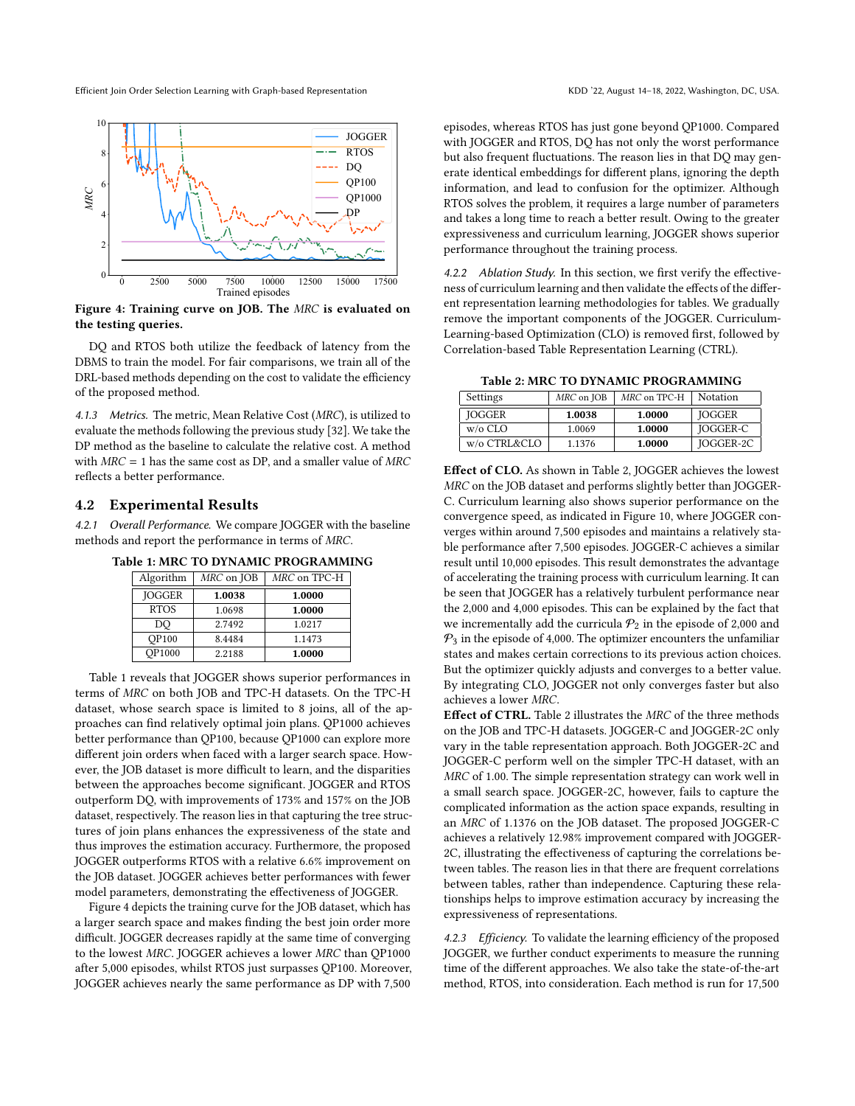Efficient Join Order Selection Learning with Graph-based Representation KDD '22, August 14-18, 2022, Washington, DC, USA.

<span id="page-6-1"></span>

Figure 4: Training curve on JOB. The MRC is evaluated on the testing queries.

DQ and RTOS both utilize the feedback of latency from the DBMS to train the model. For fair comparisons, we train all of the DRL-based methods depending on the cost to validate the efficiency of the proposed method.

4.1.3 Metrics. The metric, Mean Relative Cost (MRC), is utilized to evaluate the methods following the previous study [\[32\]](#page-8-5). We take the DP method as the baseline to calculate the relative cost. A method with  $MRC = 1$  has the same cost as DP, and a smaller value of  $MRC$ reflects a better performance.

#### 4.2 Experimental Results

<span id="page-6-0"></span>4.2.1 Overall Performance. We compare JOGGER with the baseline methods and report the performance in terms of MRC.

Table 1: MRC TO DYNAMIC PROGRAMMING

| Algorithm     | MRC on JOB | MRC on TPC-H |  |
|---------------|------------|--------------|--|
| <b>JOGGER</b> | 1.0038     | 1.0000       |  |
| <b>RTOS</b>   | 1.0698     | 1.0000       |  |
| DO            | 2.7492     | 1.0217       |  |
| <b>OP100</b>  | 8.4484     | 1.1473       |  |
| OP1000        | 2.2188     | 1.0000       |  |

Table [1](#page-6-0) reveals that JOGGER shows superior performances in terms of MRC on both JOB and TPC-H datasets. On the TPC-H dataset, whose search space is limited to 8 joins, all of the approaches can find relatively optimal join plans. QP1000 achieves better performance than QP100, because QP1000 can explore more different join orders when faced with a larger search space. However, the JOB dataset is more difficult to learn, and the disparities between the approaches become significant. JOGGER and RTOS outperform DQ, with improvements of 173% and 157% on the JOB dataset, respectively. The reason lies in that capturing the tree structures of join plans enhances the expressiveness of the state and thus improves the estimation accuracy. Furthermore, the proposed JOGGER outperforms RTOS with a relative 6.6% improvement on the JOB dataset. JOGGER achieves better performances with fewer model parameters, demonstrating the effectiveness of JOGGER.

Figure [4](#page-6-1) depicts the training curve for the JOB dataset, which has a larger search space and makes finding the best join order more difficult. JOGGER decreases rapidly at the same time of converging to the lowest MRC. JOGGER achieves a lower MRC than QP1000 after 5,000 episodes, whilst RTOS just surpasses QP100. Moreover, JOGGER achieves nearly the same performance as DP with 7,500

episodes, whereas RTOS has just gone beyond QP1000. Compared with JOGGER and RTOS, DQ has not only the worst performance but also frequent fluctuations. The reason lies in that DQ may generate identical embeddings for different plans, ignoring the depth information, and lead to confusion for the optimizer. Although RTOS solves the problem, it requires a large number of parameters and takes a long time to reach a better result. Owing to the greater expressiveness and curriculum learning, JOGGER shows superior performance throughout the training process.

4.2.2 Ablation Study. In this section, we first verify the effectiveness of curriculum learning and then validate the effects of the different representation learning methodologies for tables. We gradually remove the important components of the JOGGER. Curriculum-Learning-based Optimization (CLO) is removed first, followed by Correlation-based Table Representation Learning (CTRL).

Table 2: MRC TO DYNAMIC PROGRAMMING

<span id="page-6-2"></span>

| Settings      | MRC on JOB | MRC on TPC-H | Notation      |
|---------------|------------|--------------|---------------|
| <b>IOGGER</b> | 1.0038     | 1.0000       | <b>IOGGER</b> |
| $w/o$ CLO     | 1.0069     | 1.0000       | JOGGER-C      |
| w/o CTRL&CLO  | 1.1376     | 1.0000       | IOGGER-2C     |

Effect of CLO. As shown in Table [2,](#page-6-2) JOGGER achieves the lowest MRC on the JOB dataset and performs slightly better than JOGGER-C. Curriculum learning also shows superior performance on the convergence speed, as indicated in Figure [10,](#page-10-1) where JOGGER converges within around 7,500 episodes and maintains a relatively stable performance after 7,500 episodes. JOGGER-C achieves a similar result until 10,000 episodes. This result demonstrates the advantage of accelerating the training process with curriculum learning. It can be seen that JOGGER has a relatively turbulent performance near the 2,000 and 4,000 episodes. This can be explained by the fact that we incrementally add the curricula  $\mathcal{P}_2$  in the episode of 2,000 and  $P_3$  in the episode of 4,000. The optimizer encounters the unfamiliar states and makes certain corrections to its previous action choices. But the optimizer quickly adjusts and converges to a better value. By integrating CLO, JOGGER not only converges faster but also achieves a lower MRC.

Effect of CTRL. Table [2](#page-6-2) illustrates the MRC of the three methods on the JOB and TPC-H datasets. JOGGER-C and JOGGER-2C only vary in the table representation approach. Both JOGGER-2C and JOGGER-C perform well on the simpler TPC-H dataset, with an MRC of 1.00. The simple representation strategy can work well in a small search space. JOGGER-2C, however, fails to capture the complicated information as the action space expands, resulting in an MRC of 1.1376 on the JOB dataset. The proposed JOGGER-C achieves a relatively 12.98% improvement compared with JOGGER-2C, illustrating the effectiveness of capturing the correlations between tables. The reason lies in that there are frequent correlations between tables, rather than independence. Capturing these relationships helps to improve estimation accuracy by increasing the expressiveness of representations.

4.2.3 Efficiency. To validate the learning efficiency of the proposed JOGGER, we further conduct experiments to measure the running time of the different approaches. We also take the state-of-the-art method, RTOS, into consideration. Each method is run for 17,500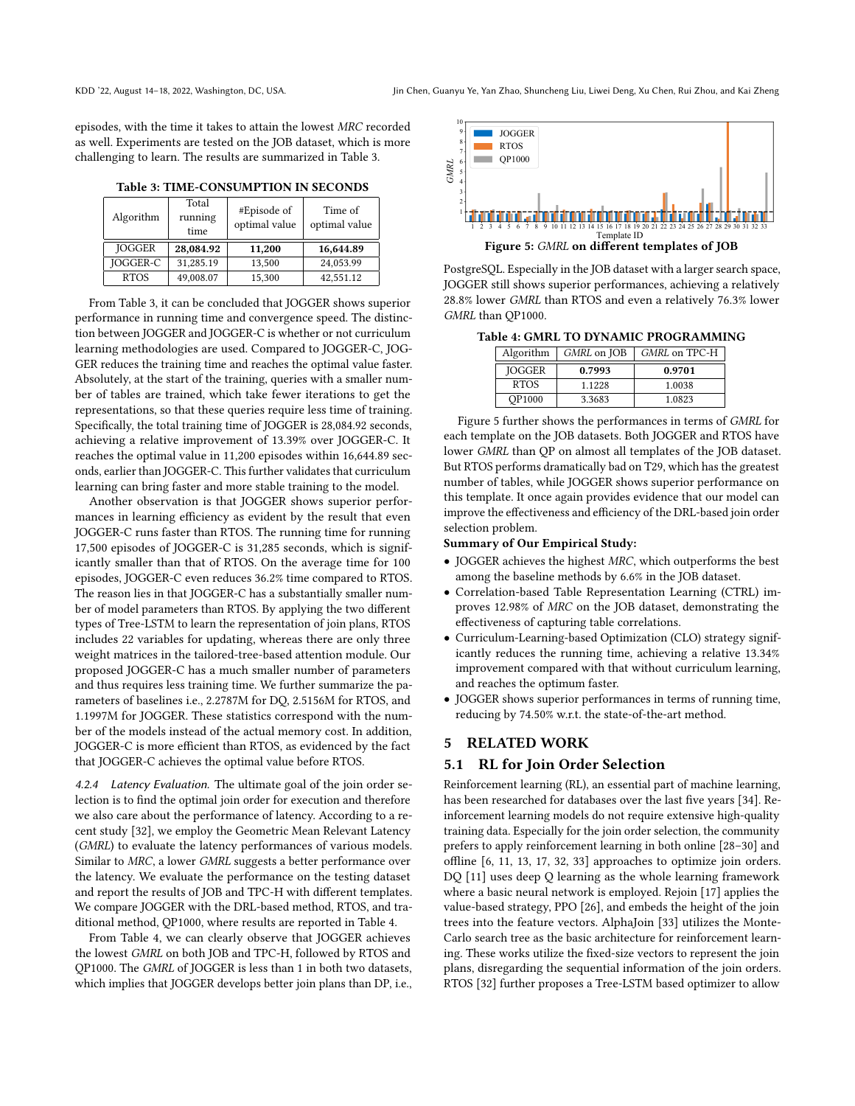episodes, with the time it takes to attain the lowest MRC recorded as well. Experiments are tested on the JOB dataset, which is more challenging to learn. The results are summarized in Table [3.](#page-7-0)

Table 3: TIME-CONSUMPTION IN SECONDS

<span id="page-7-0"></span>

| Algorithm       | Total<br>running<br>time | #Episode of<br>optimal value | Time of<br>optimal value |
|-----------------|--------------------------|------------------------------|--------------------------|
| <b>JOGGER</b>   | 28,084.92                | 11,200                       | 16,644.89                |
| <b>IOGGER-C</b> | 31,285.19                | 13,500                       | 24,053.99                |
| <b>RTOS</b>     | 49,008.07                | 15,300                       | 42,551.12                |

From Table [3,](#page-7-0) it can be concluded that JOGGER shows superior performance in running time and convergence speed. The distinction between JOGGER and JOGGER-C is whether or not curriculum learning methodologies are used. Compared to JOGGER-C, JOG-GER reduces the training time and reaches the optimal value faster. Absolutely, at the start of the training, queries with a smaller number of tables are trained, which take fewer iterations to get the representations, so that these queries require less time of training. Specifically, the total training time of JOGGER is 28,084.92 seconds, achieving a relative improvement of 13.39% over JOGGER-C. It reaches the optimal value in 11,200 episodes within 16,644.89 seconds, earlier than JOGGER-C. This further validates that curriculum learning can bring faster and more stable training to the model.

Another observation is that JOGGER shows superior performances in learning efficiency as evident by the result that even JOGGER-C runs faster than RTOS. The running time for running 17,500 episodes of JOGGER-C is 31,285 seconds, which is significantly smaller than that of RTOS. On the average time for 100 episodes, JOGGER-C even reduces 36.2% time compared to RTOS. The reason lies in that JOGGER-C has a substantially smaller number of model parameters than RTOS. By applying the two different types of Tree-LSTM to learn the representation of join plans, RTOS includes 22 variables for updating, whereas there are only three weight matrices in the tailored-tree-based attention module. Our proposed JOGGER-C has a much smaller number of parameters and thus requires less training time. We further summarize the parameters of baselines i.e., 2.2787M for DQ, 2.5156M for RTOS, and 1.1997M for JOGGER. These statistics correspond with the number of the models instead of the actual memory cost. In addition, JOGGER-C is more efficient than RTOS, as evidenced by the fact that JOGGER-C achieves the optimal value before RTOS.

4.2.4 Latency Evaluation. The ultimate goal of the join order selection is to find the optimal join order for execution and therefore we also care about the performance of latency. According to a recent study [\[32\]](#page-8-5), we employ the Geometric Mean Relevant Latency (GMRL) to evaluate the latency performances of various models. Similar to MRC, a lower GMRL suggests a better performance over the latency. We evaluate the performance on the testing dataset and report the results of JOB and TPC-H with different templates. We compare JOGGER with the DRL-based method, RTOS, and traditional method, QP1000, where results are reported in Table [4.](#page-7-1)

From Table [4,](#page-7-1) we can clearly observe that JOGGER achieves the lowest GMRL on both JOB and TPC-H, followed by RTOS and QP1000. The GMRL of JOGGER is less than 1 in both two datasets, which implies that JOGGER develops better join plans than DP, i.e.,

<span id="page-7-2"></span>

PostgreSQL. Especially in the JOB dataset with a larger search space, JOGGER still shows superior performances, achieving a relatively 28.8% lower GMRL than RTOS and even a relatively 76.3% lower GMRL than QP1000.

<span id="page-7-1"></span>Table 4: GMRL TO DYNAMIC PROGRAMMING

| Algorithm     | GMRL on JOB | GMRL on TPC-H |  |
|---------------|-------------|---------------|--|
| <b>JOGGER</b> | 0.7993      | 0.9701        |  |
| RTOS          | 1.1228      | 1.0038        |  |
| <b>OP1000</b> | 3.3683      | 1.0823        |  |

Figure [5](#page-7-2) further shows the performances in terms of GMRL for each template on the JOB datasets. Both JOGGER and RTOS have lower GMRL than QP on almost all templates of the JOB dataset. But RTOS performs dramatically bad on T29, which has the greatest number of tables, while JOGGER shows superior performance on this template. It once again provides evidence that our model can improve the effectiveness and efficiency of the DRL-based join order selection problem.

#### Summary of Our Empirical Study:

- JOGGER achieves the highest MRC, which outperforms the best among the baseline methods by 6.6% in the JOB dataset.
- Correlation-based Table Representation Learning (CTRL) improves 12.98% of MRC on the JOB dataset, demonstrating the effectiveness of capturing table correlations.
- Curriculum-Learning-based Optimization (CLO) strategy significantly reduces the running time, achieving a relative 13.34% improvement compared with that without curriculum learning, and reaches the optimum faster.
- JOGGER shows superior performances in terms of running time, reducing by 74.50% w.r.t. the state-of-the-art method.

#### 5 RELATED WORK

#### 5.1 RL for Join Order Selection

Reinforcement learning (RL), an essential part of machine learning, has been researched for databases over the last five years [\[34\]](#page-8-22). Reinforcement learning models do not require extensive high-quality training data. Especially for the join order selection, the community prefers to apply reinforcement learning in both online [\[28](#page-8-23)[–30\]](#page-8-24) and offline [\[6,](#page-8-25) [11,](#page-8-3) [13,](#page-8-26) [17,](#page-8-4) [32,](#page-8-5) [33\]](#page-8-6) approaches to optimize join orders. DQ [\[11\]](#page-8-3) uses deep Q learning as the whole learning framework where a basic neural network is employed. Rejoin [\[17\]](#page-8-4) applies the value-based strategy, PPO [\[26\]](#page-8-27), and embeds the height of the join trees into the feature vectors. AlphaJoin [\[33\]](#page-8-6) utilizes the Monte-Carlo search tree as the basic architecture for reinforcement learning. These works utilize the fixed-size vectors to represent the join plans, disregarding the sequential information of the join orders. RTOS [\[32\]](#page-8-5) further proposes a Tree-LSTM based optimizer to allow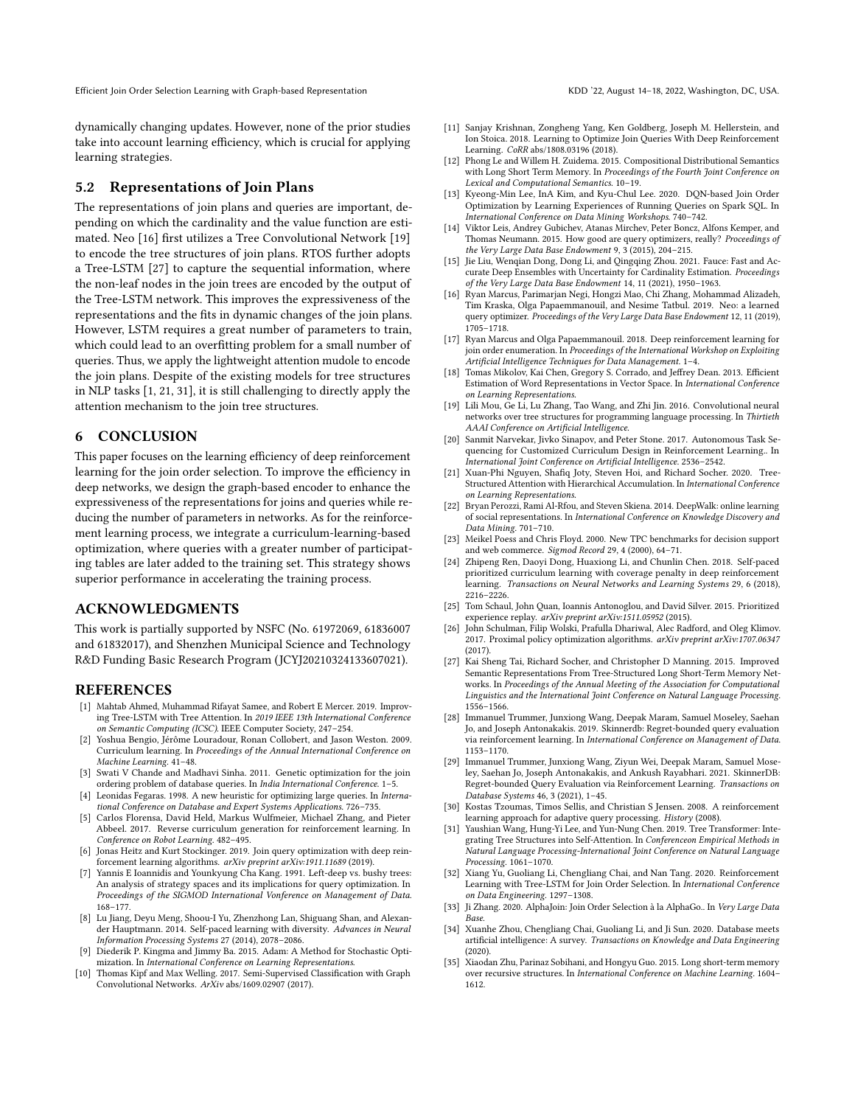Efficient Join Order Selection Learning with Graph-based Representation KDD '22, August 14-18, 2022, Washington, DC, USA.

dynamically changing updates. However, none of the prior studies take into account learning efficiency, which is crucial for applying learning strategies.

# 5.2 Representations of Join Plans

The representations of join plans and queries are important, depending on which the cardinality and the value function are estimated. Neo [\[16\]](#page-8-28) first utilizes a Tree Convolutional Network [\[19\]](#page-8-29) to encode the tree structures of join plans. RTOS further adopts a Tree-LSTM [\[27\]](#page-8-13) to capture the sequential information, where the non-leaf nodes in the join trees are encoded by the output of the Tree-LSTM network. This improves the expressiveness of the representations and the fits in dynamic changes of the join plans. However, LSTM requires a great number of parameters to train, which could lead to an overfitting problem for a small number of queries. Thus, we apply the lightweight attention mudole to encode the join plans. Despite of the existing models for tree structures in NLP tasks [\[1,](#page-8-30) [21,](#page-8-31) [31\]](#page-8-32), it is still challenging to directly apply the attention mechanism to the join tree structures.

# 6 CONCLUSION

This paper focuses on the learning efficiency of deep reinforcement learning for the join order selection. To improve the efficiency in deep networks, we design the graph-based encoder to enhance the expressiveness of the representations for joins and queries while reducing the number of parameters in networks. As for the reinforcement learning process, we integrate a curriculum-learning-based optimization, where queries with a greater number of participating tables are later added to the training set. This strategy shows superior performance in accelerating the training process.

# ACKNOWLEDGMENTS

This work is partially supported by NSFC (No. 61972069, 61836007 and 61832017), and Shenzhen Municipal Science and Technology R&D Funding Basic Research Program (JCYJ20210324133607021).

# **REFERENCES**

- <span id="page-8-30"></span>[1] Mahtab Ahmed, Muhammad Rifayat Samee, and Robert E Mercer. 2019. Improving Tree-LSTM with Tree Attention. In 2019 IEEE 13th International Conference on Semantic Computing (ICSC). IEEE Computer Society, 247–254.
- <span id="page-8-16"></span>[2] Yoshua Bengio, Jérôme Louradour, Ronan Collobert, and Jason Weston. 2009. Curriculum learning. In Proceedings of the Annual International Conference on Machine Learning. 41–48.
- <span id="page-8-2"></span>[3] Swati V Chande and Madhavi Sinha. 2011. Genetic optimization for the join ordering problem of database queries. In India International Conference. 1–5.
- <span id="page-8-1"></span>[4] Leonidas Fegaras. 1998. A new heuristic for optimizing large queries. In International Conference on Database and Expert Systems Applications. 726–735.
- <span id="page-8-17"></span>[5] Carlos Florensa, David Held, Markus Wulfmeier, Michael Zhang, and Pieter Abbeel. 2017. Reverse curriculum generation for reinforcement learning. In Conference on Robot Learning. 482–495.
- <span id="page-8-25"></span>[6] Jonas Heitz and Kurt Stockinger. 2019. Join query optimization with deep reinforcement learning algorithms. arXiv preprint arXiv:1911.11689 (2019).
- <span id="page-8-0"></span>[7] Yannis E Ioannidis and Younkyung Cha Kang. 1991. Left-deep vs. bushy trees: An analysis of strategy spaces and its implications for query optimization. In Proceedings of the SIGMOD International Vonference on Management of Data. 168–177.
- <span id="page-8-18"></span>[8] Lu Jiang, Deyu Meng, Shoou-I Yu, Zhenzhong Lan, Shiguang Shan, and Alexander Hauptmann. 2014. Self-paced learning with diversity. Advances in Neural Information Processing Systems 27 (2014), 2078–2086.
- <span id="page-8-33"></span>[9] Diederik P. Kingma and Jimmy Ba. 2015. Adam: A Method for Stochastic Optimization. In International Conference on Learning Representations.
- <span id="page-8-11"></span>[10] Thomas Kipf and Max Welling. 2017. Semi-Supervised Classification with Graph Convolutional Networks. ArXiv abs/1609.02907 (2017).
- <span id="page-8-3"></span>[11] Sanjay Krishnan, Zongheng Yang, Ken Goldberg, Joseph M. Hellerstein, and Ion Stoica. 2018. Learning to Optimize Join Queries With Deep Reinforcement Learning. CoRR abs/1808.03196 (2018).
- <span id="page-8-12"></span>[12] Phong Le and Willem H. Zuidema. 2015. Compositional Distributional Semantics with Long Short Term Memory. In Proceedings of the Fourth Joint Conference on Lexical and Computational Semantics. 10–19.
- <span id="page-8-26"></span>[13] Kyeong-Min Lee, InA Kim, and Kyu-Chul Lee. 2020. DQN-based Join Order Optimization by Learning Experiences of Running Queries on Spark SQL. In International Conference on Data Mining Workshops. 740–742.
- <span id="page-8-20"></span>[14] Viktor Leis, Andrey Gubichev, Atanas Mirchev, Peter Boncz, Alfons Kemper, and Thomas Neumann. 2015. How good are query optimizers, really? Proceedings of the Very Large Data Base Endowment 9, 3 (2015), 204–215.
- <span id="page-8-9"></span>[15] Jie Liu, Wenqian Dong, Dong Li, and Qingqing Zhou. 2021. Fauce: Fast and Accurate Deep Ensembles with Uncertainty for Cardinality Estimation. Proceedings of the Very Large Data Base Endowment 14, 11 (2021), 1950–1963.
- <span id="page-8-28"></span>[16] Ryan Marcus, Parimarjan Negi, Hongzi Mao, Chi Zhang, Mohammad Alizadeh, Tim Kraska, Olga Papaemmanouil, and Nesime Tatbul. 2019. Neo: a learned query optimizer. Proceedings of the Very Large Data Base Endowment 12, 11 (2019), 1705–1718.
- <span id="page-8-4"></span>[17] Ryan Marcus and Olga Papaemmanouil. 2018. Deep reinforcement learning for join order enumeration. In Proceedings of the International Workshop on Exploiting Artificial Intelligence Techniques for Data Management. 1–4.
- <span id="page-8-10"></span>[18] Tomas Mikolov, Kai Chen, Gregory S. Corrado, and Jeffrey Dean. 2013. Efficient Estimation of Word Representations in Vector Space. In International Conference on Learning Representations.
- <span id="page-8-29"></span>[19] Lili Mou, Ge Li, Lu Zhang, Tao Wang, and Zhi Jin. 2016. Convolutional neural networks over tree structures for programming language processing. In Thirtieth AAAI Conference on Artificial Intelligence.
- <span id="page-8-19"></span>[20] Sanmit Narvekar, Jivko Sinapov, and Peter Stone. 2017. Autonomous Task Sequencing for Customized Curriculum Design in Reinforcement Learning.. In International Joint Conference on Artificial Intelligence. 2536–2542.
- <span id="page-8-31"></span>[21] Xuan-Phi Nguyen, Shafiq Joty, Steven Hoi, and Richard Socher. 2020. Tree-Structured Attention with Hierarchical Accumulation. In International Conference on Learning Representations.
- <span id="page-8-8"></span>[22] Bryan Perozzi, Rami Al-Rfou, and Steven Skiena. 2014. DeepWalk: online learning of social representations. In International Conference on Knowledge Discovery and Data Mining. 701–710.
- <span id="page-8-21"></span>[23] Meikel Poess and Chris Floyd. 2000. New TPC benchmarks for decision support and web commerce. Sigmod Record 29, 4 (2000), 64–71.
- <span id="page-8-15"></span>[24] Zhipeng Ren, Daoyi Dong, Huaxiong Li, and Chunlin Chen. 2018. Self-paced prioritized curriculum learning with coverage penalty in deep reinforcement learning. Transactions on Neural Networks and Learning Systems 29, 6 (2018), 2216–2226.
- <span id="page-8-7"></span>[25] Tom Schaul, John Quan, Ioannis Antonoglou, and David Silver. 2015. Prioritized experience replay. arXiv preprint arXiv:1511.05952 (2015).
- <span id="page-8-27"></span>[26] John Schulman, Filip Wolski, Prafulla Dhariwal, Alec Radford, and Oleg Klimov. 2017. Proximal policy optimization algorithms. arXiv preprint arXiv:1707.06347  $(2017)$
- <span id="page-8-13"></span>[27] Kai Sheng Tai, Richard Socher, and Christopher D Manning. 2015. Improved Semantic Representations From Tree-Structured Long Short-Term Memory Networks. In Proceedings of the Annual Meeting of the Association for Computational Linguistics and the International Joint Conference on Natural Language Processing. 1556–1566.
- <span id="page-8-23"></span>[28] Immanuel Trummer, Junxiong Wang, Deepak Maram, Samuel Moseley, Saehan Jo, and Joseph Antonakakis. 2019. Skinnerdb: Regret-bounded query evaluation via reinforcement learning. In International Conference on Management of Data. 1153–1170.
- [29] Immanuel Trummer, Junxiong Wang, Ziyun Wei, Deepak Maram, Samuel Moseley, Saehan Jo, Joseph Antonakakis, and Ankush Rayabhari. 2021. SkinnerDB: Regret-bounded Query Evaluation via Reinforcement Learning. Transactions on Database Systems 46, 3 (2021), 1–45.
- <span id="page-8-24"></span>[30] Kostas Tzoumas, Timos Sellis, and Christian S Jensen. 2008. A reinforcement learning approach for adaptive query processing. History (2008).
- <span id="page-8-32"></span>[31] Yaushian Wang, Hung-Yi Lee, and Yun-Nung Chen. 2019. Tree Transformer: Integrating Tree Structures into Self-Attention. In Conferenceon Empirical Methods in Natural Language Processing-International Joint Conference on Natural Language Processing. 1061–1070.
- <span id="page-8-5"></span>[32] Xiang Yu, Guoliang Li, Chengliang Chai, and Nan Tang. 2020. Reinforcement Learning with Tree-LSTM for Join Order Selection. In International Conference on Data Engineering. 1297–1308.
- <span id="page-8-6"></span>[33] Ji Zhang. 2020. AlphaJoin: Join Order Selection à la AlphaGo.. In Very Large Data Base.
- <span id="page-8-22"></span>[34] Xuanhe Zhou, Chengliang Chai, Guoliang Li, and Ji Sun. 2020. Database meets artificial intelligence: A survey. Transactions on Knowledge and Data Engineering (2020).
- <span id="page-8-14"></span>[35] Xiaodan Zhu, Parinaz Sobihani, and Hongyu Guo. 2015. Long short-term memory over recursive structures. In International Conference on Machine Learning. 1604– 1612.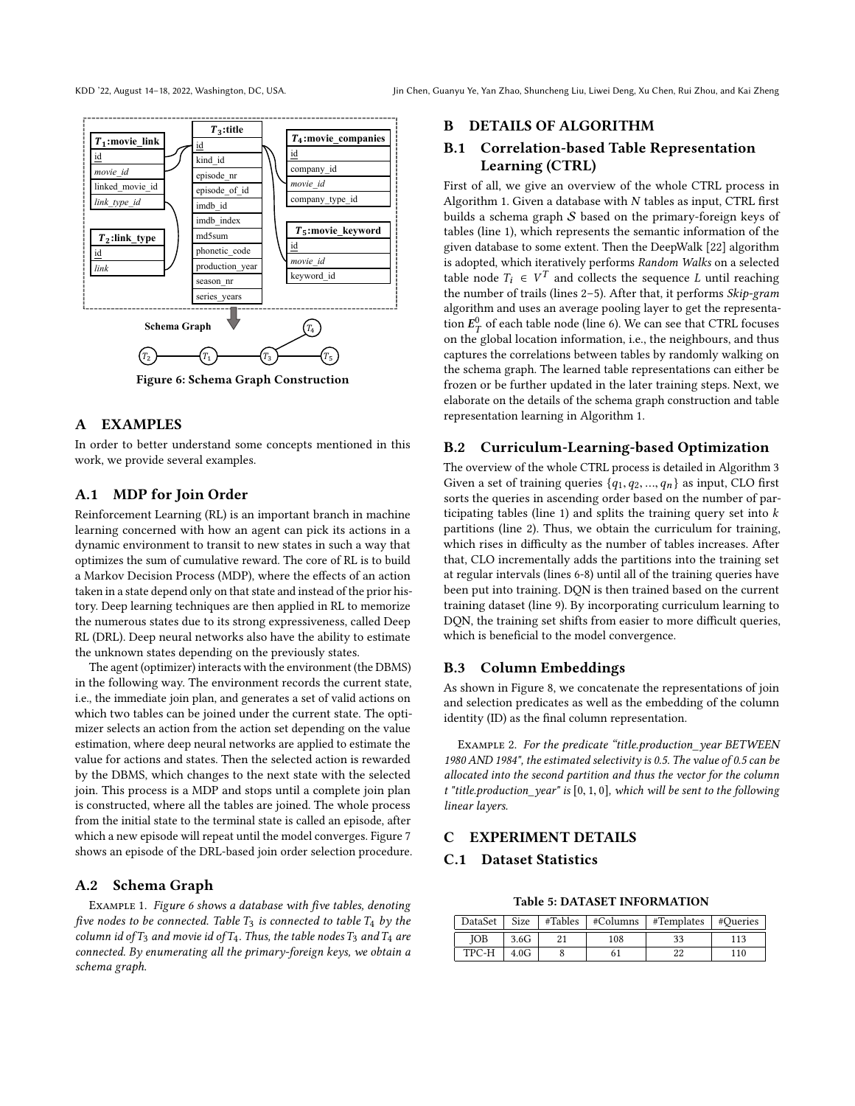<span id="page-9-0"></span>

### Figure 6: Schema Graph Construction

# A EXAMPLES

In order to better understand some concepts mentioned in this work, we provide several examples.

# A.1 MDP for Join Order

Reinforcement Learning (RL) is an important branch in machine learning concerned with how an agent can pick its actions in a dynamic environment to transit to new states in such a way that optimizes the sum of cumulative reward. The core of RL is to build a Markov Decision Process (MDP), where the effects of an action taken in a state depend only on that state and instead of the prior history. Deep learning techniques are then applied in RL to memorize the numerous states due to its strong expressiveness, called Deep RL (DRL). Deep neural networks also have the ability to estimate the unknown states depending on the previously states.

The agent (optimizer) interacts with the environment (the DBMS) in the following way. The environment records the current state, i.e., the immediate join plan, and generates a set of valid actions on which two tables can be joined under the current state. The optimizer selects an action from the action set depending on the value estimation, where deep neural networks are applied to estimate the value for actions and states. Then the selected action is rewarded by the DBMS, which changes to the next state with the selected join. This process is a MDP and stops until a complete join plan is constructed, where all the tables are joined. The whole process from the initial state to the terminal state is called an episode, after which a new episode will repeat until the model converges. Figure [7](#page-10-2) shows an episode of the DRL-based join order selection procedure.

### A.2 Schema Graph

Example 1. Figure [6](#page-9-0) shows a database with five tables, denoting five nodes to be connected. Table  $T_3$  is connected to table  $T_4$  by the column id of  $T_3$  and movie id of  $T_4$ . Thus, the table nodes  $T_3$  and  $T_4$  are connected. By enumerating all the primary-foreign keys, we obtain a schema graph.

#### B DETAILS OF ALGORITHM

# B.1 Correlation-based Table Representation Learning (CTRL)

First of all, we give an overview of the whole CTRL process in Algorithm [1.](#page-3-0) Given a database with  $N$  tables as input, CTRL first builds a schema graph  $S$  based on the primary-foreign keys of tables (line [1\)](#page-3-2), which represents the semantic information of the given database to some extent. Then the DeepWalk [\[22\]](#page-8-8) algorithm is adopted, which iteratively performs Random Walks on a selected table node  $T_i \in V^T$  and collects the sequence L until reaching<br>the number of trails (lines 2–5). After that, it performs Skip-gram the number of trails (lines [2](#page-3-3)-5). After that, it performs Skip-gram algorithm and uses an average pooling layer to get the representation  $E_T^0$  of each table node (line [6\)](#page-3-5). We can see that CTRL focuses on the global location information, i.e., the neighbours, and thus captures the correlations between tables by randomly walking on the schema graph. The learned table representations can either be frozen or be further updated in the later training steps. Next, we elaborate on the details of the schema graph construction and table representation learning in Algorithm [1.](#page-3-0)

#### B.2 Curriculum-Learning-based Optimization

The overview of the whole CTRL process is detailed in Algorithm [3](#page-5-0) Given a set of training queries  $\{q_1, q_2, ..., q_n\}$  as input, CLO first sorts the queries in ascending order based on the number of par-ticipating tables (line [1\)](#page-5-1) and splits the training query set into  $k$ partitions (line [2\)](#page-5-2). Thus, we obtain the curriculum for training, which rises in difficulty as the number of tables increases. After that, CLO incrementally adds the partitions into the training set at regular intervals (lines [6-](#page-5-3)[8\)](#page-5-4) until all of the training queries have been put into training. DQN is then trained based on the current training dataset (line [9\)](#page-5-5). By incorporating curriculum learning to DQN, the training set shifts from easier to more difficult queries, which is beneficial to the model convergence.

# B.3 Column Embeddings

As shown in Figure [8,](#page-10-3) we concatenate the representations of join and selection predicates as well as the embedding of the column identity (ID) as the final column representation.

Example 2. For the predicate "title.production\_year BETWEEN 1980 AND 1984", the estimated selectivity is 0.5. The value of 0.5 can be allocated into the second partition and thus the vector for the column t "title.production\_year" is [0, <sup>1</sup>, <sup>0</sup>], which will be sent to the following linear layers.

# C EXPERIMENT DETAILS C.1 Dataset Statistics

Table 5: DATASET INFORMATION

| DataSet | Size | #Tables | #Columns | #Templates | #Oueries |
|---------|------|---------|----------|------------|----------|
| IOB     | 3.6G |         | 108      |            | 113      |
| TPC-H   | 4.0G |         |          |            | 110      |